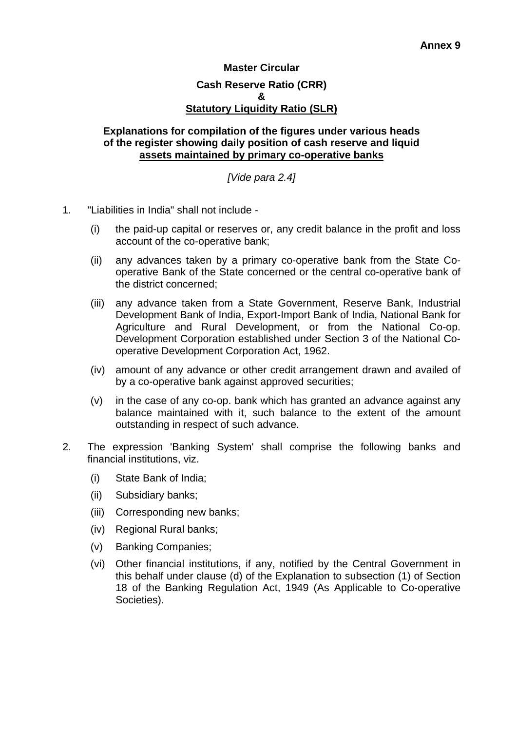## **Master Circular Cash Reserve Ratio (CRR) & Statutory Liquidity Ratio (SLR)**

## **Explanations for compilation of the figures under various heads of the register showing daily position of cash reserve and liquid assets maintained by primary co-operative banks**

*[Vide para 2.4]* 

- 1. "Liabilities in India" shall not include
	- (i) the paid-up capital or reserves or, any credit balance in the profit and loss account of the co-operative bank;
	- (ii) any advances taken by a primary co-operative bank from the State Cooperative Bank of the State concerned or the central co-operative bank of the district concerned;
	- (iii) any advance taken from a State Government, Reserve Bank, Industrial Development Bank of India, Export-Import Bank of India, National Bank for Agriculture and Rural Development, or from the National Co-op. Development Corporation established under Section 3 of the National Cooperative Development Corporation Act, 1962.
	- (iv) amount of any advance or other credit arrangement drawn and availed of by a co-operative bank against approved securities;
	- (v) in the case of any co-op. bank which has granted an advance against any balance maintained with it, such balance to the extent of the amount outstanding in respect of such advance.
- 2. The expression 'Banking System' shall comprise the following banks and financial institutions, viz.
	- (i) State Bank of India;
	- (ii) Subsidiary banks;
	- (iii) Corresponding new banks;
	- (iv) Regional Rural banks;
	- (v) Banking Companies;
	- (vi) Other financial institutions, if any, notified by the Central Government in this behalf under clause (d) of the Explanation to subsection (1) of Section 18 of the Banking Regulation Act, 1949 (As Applicable to Co-operative Societies).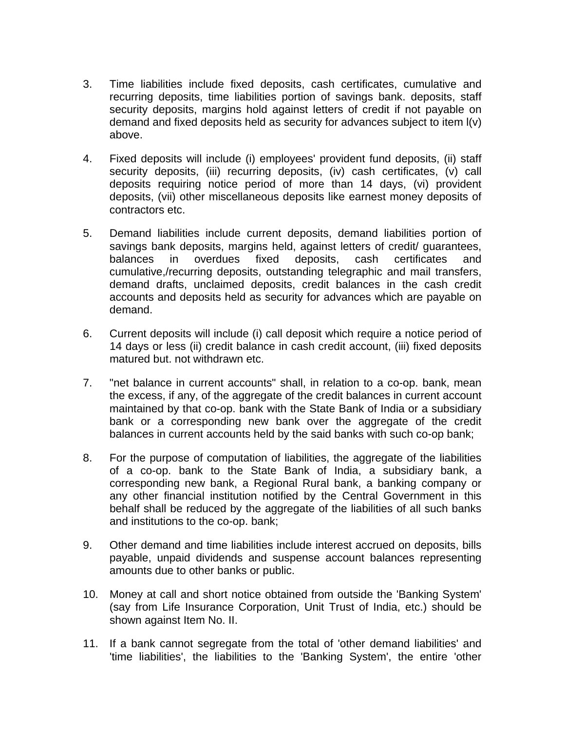- 3. Time liabilities include fixed deposits, cash certificates, cumulative and recurring deposits, time liabilities portion of savings bank. deposits, staff security deposits, margins hold against letters of credit if not payable on demand and fixed deposits held as security for advances subject to item l(v) above.
- 4. Fixed deposits will include (i) employees' provident fund deposits, (ii) staff security deposits, (iii) recurring deposits, (iv) cash certificates, (v) call deposits requiring notice period of more than 14 days, (vi) provident deposits, (vii) other miscellaneous deposits like earnest money deposits of contractors etc.
- 5. Demand liabilities include current deposits, demand liabilities portion of savings bank deposits, margins held, against letters of credit/ guarantees, balances in overdues fixed deposits, cash certificates and cumulative,/recurring deposits, outstanding telegraphic and mail transfers, demand drafts, unclaimed deposits, credit balances in the cash credit accounts and deposits held as security for advances which are payable on demand.
- 6. Current deposits will include (i) call deposit which require a notice period of 14 days or less (ii) credit balance in cash credit account, (iii) fixed deposits matured but. not withdrawn etc.
- 7. "net balance in current accounts" shall, in relation to a co-op. bank, mean the excess, if any, of the aggregate of the credit balances in current account maintained by that co-op. bank with the State Bank of India or a subsidiary bank or a corresponding new bank over the aggregate of the credit balances in current accounts held by the said banks with such co-op bank;
- 8. For the purpose of computation of liabilities, the aggregate of the liabilities of a co-op. bank to the State Bank of India, a subsidiary bank, a corresponding new bank, a Regional Rural bank, a banking company or any other financial institution notified by the Central Government in this behalf shall be reduced by the aggregate of the liabilities of all such banks and institutions to the co-op. bank;
- 9. Other demand and time liabilities include interest accrued on deposits, bills payable, unpaid dividends and suspense account balances representing amounts due to other banks or public.
- 10. Money at call and short notice obtained from outside the 'Banking System' (say from Life Insurance Corporation, Unit Trust of India, etc.) should be shown against Item No. II.
- 11. If a bank cannot segregate from the total of 'other demand liabilities' and 'time liabilities', the liabilities to the 'Banking System', the entire 'other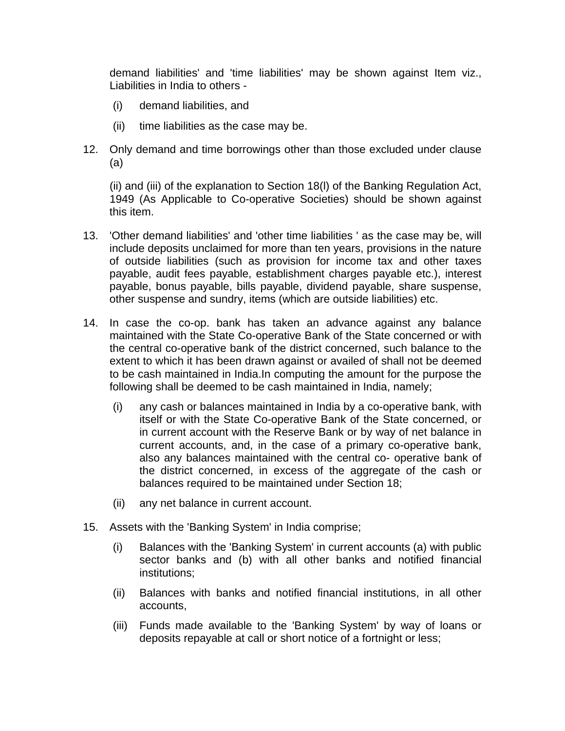demand liabilities' and 'time liabilities' may be shown against Item viz., Liabilities in India to others -

- (i) demand liabilities, and
- (ii) time liabilities as the case may be.
- 12. Only demand and time borrowings other than those excluded under clause (a)

(ii) and (iii) of the explanation to Section 18(l) of the Banking Regulation Act, 1949 (As Applicable to Co-operative Societies) should be shown against this item.

- 13. 'Other demand liabilities' and 'other time liabilities ' as the case may be, will include deposits unclaimed for more than ten years, provisions in the nature of outside liabilities (such as provision for income tax and other taxes payable, audit fees payable, establishment charges payable etc.), interest payable, bonus payable, bills payable, dividend payable, share suspense, other suspense and sundry, items (which are outside liabilities) etc.
- 14. In case the co-op. bank has taken an advance against any balance maintained with the State Co-operative Bank of the State concerned or with the central co-operative bank of the district concerned, such balance to the extent to which it has been drawn against or availed of shall not be deemed to be cash maintained in India.In computing the amount for the purpose the following shall be deemed to be cash maintained in India, namely;
	- (i) any cash or balances maintained in India by a co-operative bank, with itself or with the State Co-operative Bank of the State concerned, or in current account with the Reserve Bank or by way of net balance in current accounts, and, in the case of a primary co-operative bank, also any balances maintained with the central co- operative bank of the district concerned, in excess of the aggregate of the cash or balances required to be maintained under Section 18;
	- (ii) any net balance in current account.
- 15. Assets with the 'Banking System' in India comprise;
	- (i) Balances with the 'Banking System' in current accounts (a) with public sector banks and (b) with all other banks and notified financial institutions;
	- (ii) Balances with banks and notified financial institutions, in all other accounts,
	- (iii) Funds made available to the 'Banking System' by way of loans or deposits repayable at call or short notice of a fortnight or less;